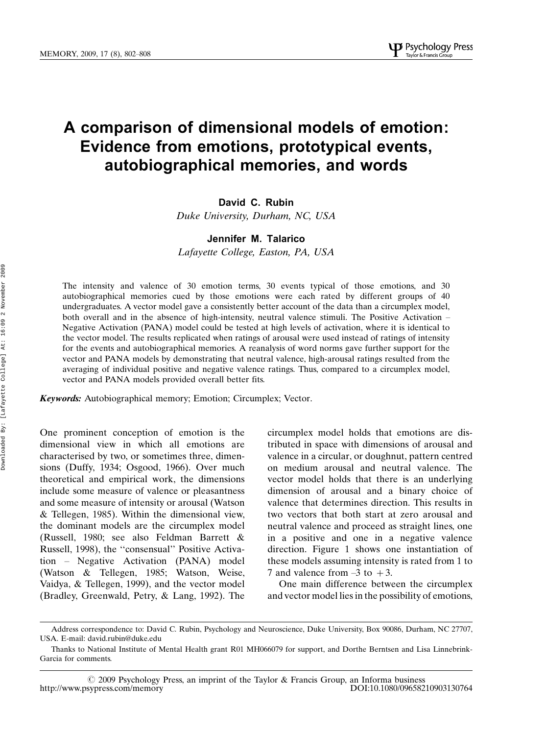# A comparison of dimensional models of emotion: Evidence from emotions, prototypical events, autobiographical memories, and words

#### David C. Rubin

Duke University, Durham, NC, USA

## Jennifer M. Talarico

Lafayette College, Easton, PA, USA

The intensity and valence of 30 emotion terms, 30 events typical of those emotions, and 30 autobiographical memories cued by those emotions were each rated by different groups of 40 undergraduates. A vector model gave a consistently better account of the data than a circumplex model, both overall and in the absence of high-intensity, neutral valence stimuli. The Positive Activation – Negative Activation (PANA) model could be tested at high levels of activation, where it is identical to the vector model. The results replicated when ratings of arousal were used instead of ratings of intensity for the events and autobiographical memories. A reanalysis of word norms gave further support for the vector and PANA models by demonstrating that neutral valence, high-arousal ratings resulted from the averaging of individual positive and negative valence ratings. Thus, compared to a circumplex model, vector and PANA models provided overall better fits.

Keywords: Autobiographical memory; Emotion; Circumplex; Vector.

One prominent conception of emotion is the dimensional view in which all emotions are characterised by two, or sometimes three, dimensions (Duffy, 1934; Osgood, 1966). Over much theoretical and empirical work, the dimensions include some measure of valence or pleasantness and some measure of intensity or arousal (Watson & Tellegen, 1985). Within the dimensional view, the dominant models are the circumplex model (Russell, 1980; see also Feldman Barrett & Russell, 1998), the ''consensual'' Positive Activation Negative Activation (PANA) model (Watson & Tellegen, 1985; Watson, Weise, Vaidya, & Tellegen, 1999), and the vector model (Bradley, Greenwald, Petry, & Lang, 1992). The circumplex model holds that emotions are distributed in space with dimensions of arousal and valence in a circular, or doughnut, pattern centred on medium arousal and neutral valence. The vector model holds that there is an underlying dimension of arousal and a binary choice of valence that determines direction. This results in two vectors that both start at zero arousal and neutral valence and proceed as straight lines, one in a positive and one in a negative valence direction. Figure 1 shows one instantiation of these models assuming intensity is rated from 1 to 7 and valence from  $-3$  to  $+3$ .

One main difference between the circumplex and vector model lies in the possibility of emotions,

Address correspondence to: David C. Rubin, Psychology and Neuroscience, Duke University, Box 90086, Durham, NC 27707, USA. E-mail: david.rubin@duke.edu

Thanks to National Institute of Mental Health grant R01 MH066079 for support, and Dorthe Berntsen and Lisa Linnebrink-Garcia for comments.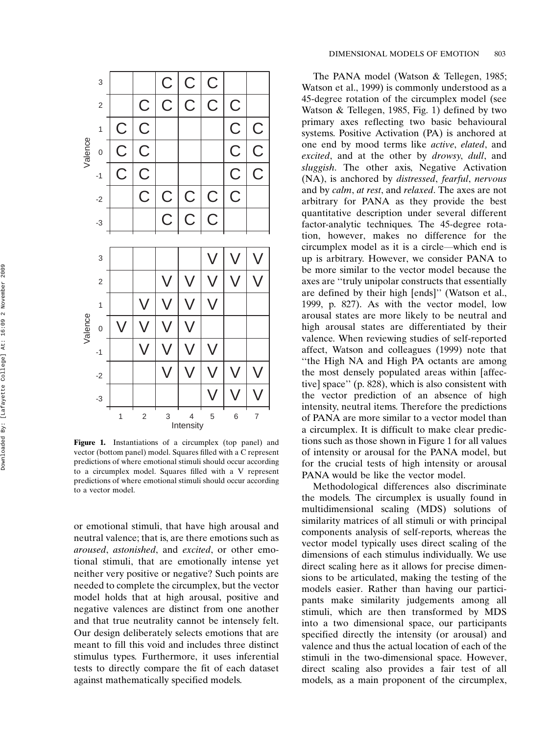

Figure 1. Instantiations of a circumplex (top panel) and vector (bottom panel) model. Squares filled with a C represent predictions of where emotional stimuli should occur according to a circumplex model. Squares filled with a V represent predictions of where emotional stimuli should occur according to a vector model.

or emotional stimuli, that have high arousal and neutral valence; that is, are there emotions such as aroused, astonished, and excited, or other emotional stimuli, that are emotionally intense yet neither very positive or negative? Such points are needed to complete the circumplex, but the vector model holds that at high arousal, positive and negative valences are distinct from one another and that true neutrality cannot be intensely felt. Our design deliberately selects emotions that are meant to fill this void and includes three distinct stimulus types. Furthermore, it uses inferential tests to directly compare the fit of each dataset against mathematically specified models.

The PANA model (Watson & Tellegen, 1985; Watson et al., 1999) is commonly understood as a 45-degree rotation of the circumplex model (see Watson & Tellegen, 1985, Fig. 1) defined by two primary axes reflecting two basic behavioural systems. Positive Activation (PA) is anchored at one end by mood terms like active, elated, and excited, and at the other by drowsy, dull, and sluggish. The other axis, Negative Activation (NA), is anchored by distressed, fearful, nervous and by calm, at rest, and relaxed. The axes are not arbitrary for PANA as they provide the best quantitative description under several different factor-analytic techniques. The 45-degree rotation, however, makes no difference for the circumplex model as it is a circle\*which end is up is arbitrary. However, we consider PANA to be more similar to the vector model because the axes are ''truly unipolar constructs that essentially are defined by their high [ends]'' (Watson et al., 1999, p. 827). As with the vector model, low arousal states are more likely to be neutral and high arousal states are differentiated by their valence. When reviewing studies of self-reported affect, Watson and colleagues (1999) note that ''the High NA and High PA octants are among the most densely populated areas within [affective] space'' (p. 828), which is also consistent with the vector prediction of an absence of high intensity, neutral items. Therefore the predictions of PANA are more similar to a vector model than a circumplex. It is difficult to make clear predictions such as those shown in Figure 1 for all values of intensity or arousal for the PANA model, but for the crucial tests of high intensity or arousal PANA would be like the vector model.

Methodological differences also discriminate the models. The circumplex is usually found in multidimensional scaling (MDS) solutions of similarity matrices of all stimuli or with principal components analysis of self-reports, whereas the vector model typically uses direct scaling of the dimensions of each stimulus individually. We use direct scaling here as it allows for precise dimensions to be articulated, making the testing of the models easier. Rather than having our participants make similarity judgements among all stimuli, which are then transformed by MDS into a two dimensional space, our participants specified directly the intensity (or arousal) and valence and thus the actual location of each of the stimuli in the two-dimensional space. However, direct scaling also provides a fair test of all models, as a main proponent of the circumplex,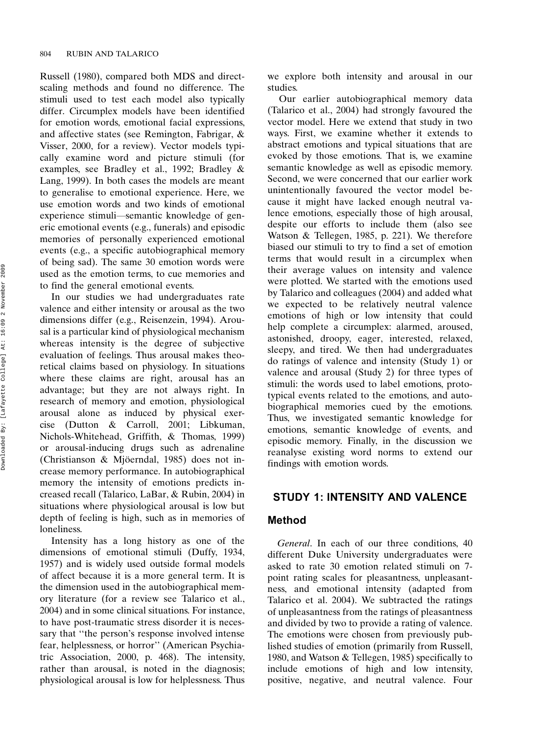Russell (1980), compared both MDS and directscaling methods and found no difference. The stimuli used to test each model also typically differ. Circumplex models have been identified for emotion words, emotional facial expressions, and affective states (see Remington, Fabrigar, & Visser, 2000, for a review). Vector models typically examine word and picture stimuli (for examples, see Bradley et al., 1992; Bradley & Lang, 1999). In both cases the models are meant to generalise to emotional experience. Here, we use emotion words and two kinds of emotional experience stimuli—semantic knowledge of generic emotional events (e.g., funerals) and episodic memories of personally experienced emotional events (e.g., a specific autobiographical memory of being sad). The same 30 emotion words were used as the emotion terms, to cue memories and to find the general emotional events.

In our studies we had undergraduates rate valence and either intensity or arousal as the two dimensions differ (e.g., Reisenzein, 1994). Arousal is a particular kind of physiological mechanism whereas intensity is the degree of subjective evaluation of feelings. Thus arousal makes theoretical claims based on physiology. In situations where these claims are right, arousal has an advantage; but they are not always right. In research of memory and emotion, physiological arousal alone as induced by physical exercise (Dutton & Carroll, 2001; Libkuman, Nichols-Whitehead, Griffith, & Thomas, 1999) or arousal-inducing drugs such as adrenaline (Christianson & Mjöerndal, 1985) does not increase memory performance. In autobiographical memory the intensity of emotions predicts increased recall (Talarico, LaBar, & Rubin, 2004) in situations where physiological arousal is low but depth of feeling is high, such as in memories of loneliness.

Intensity has a long history as one of the dimensions of emotional stimuli (Duffy, 1934, 1957) and is widely used outside formal models of affect because it is a more general term. It is the dimension used in the autobiographical memory literature (for a review see Talarico et al., 2004) and in some clinical situations. For instance, to have post-traumatic stress disorder it is necessary that ''the person's response involved intense fear, helplessness, or horror'' (American Psychiatric Association, 2000, p. 468). The intensity, rather than arousal, is noted in the diagnosis; physiological arousal is low for helplessness. Thus

we explore both intensity and arousal in our studies.

Our earlier autobiographical memory data (Talarico et al., 2004) had strongly favoured the vector model. Here we extend that study in two ways. First, we examine whether it extends to abstract emotions and typical situations that are evoked by those emotions. That is, we examine semantic knowledge as well as episodic memory. Second, we were concerned that our earlier work unintentionally favoured the vector model because it might have lacked enough neutral valence emotions, especially those of high arousal, despite our efforts to include them (also see Watson & Tellegen, 1985, p. 221). We therefore biased our stimuli to try to find a set of emotion terms that would result in a circumplex when their average values on intensity and valence were plotted. We started with the emotions used by Talarico and colleagues (2004) and added what we expected to be relatively neutral valence emotions of high or low intensity that could help complete a circumplex: alarmed, aroused, astonished, droopy, eager, interested, relaxed, sleepy, and tired. We then had undergraduates do ratings of valence and intensity (Study 1) or valence and arousal (Study 2) for three types of stimuli: the words used to label emotions, prototypical events related to the emotions, and autobiographical memories cued by the emotions. Thus, we investigated semantic knowledge for emotions, semantic knowledge of events, and episodic memory. Finally, in the discussion we reanalyse existing word norms to extend our findings with emotion words.

## STUDY 1: INTENSITY AND VALENCE

## Method

General. In each of our three conditions, 40 different Duke University undergraduates were asked to rate 30 emotion related stimuli on 7 point rating scales for pleasantness, unpleasantness, and emotional intensity (adapted from Talarico et al. 2004). We subtracted the ratings of unpleasantness from the ratings of pleasantness and divided by two to provide a rating of valence. The emotions were chosen from previously published studies of emotion (primarily from Russell, 1980, and Watson & Tellegen, 1985) specifically to include emotions of high and low intensity, positive, negative, and neutral valence. Four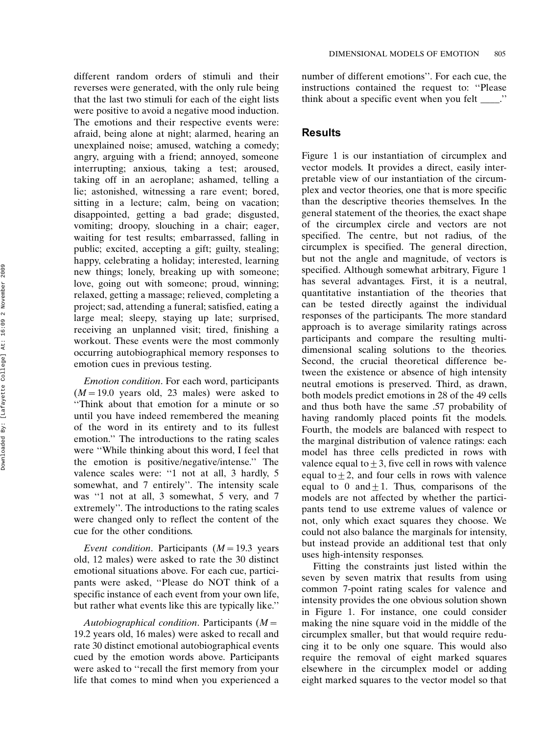different random orders of stimuli and their reverses were generated, with the only rule being that the last two stimuli for each of the eight lists were positive to avoid a negative mood induction. The emotions and their respective events were: afraid, being alone at night; alarmed, hearing an unexplained noise; amused, watching a comedy; angry, arguing with a friend; annoyed, someone interrupting; anxious, taking a test; aroused, taking off in an aeroplane; ashamed, telling a lie; astonished, witnessing a rare event; bored, sitting in a lecture; calm, being on vacation; disappointed, getting a bad grade; disgusted, vomiting; droopy, slouching in a chair; eager, waiting for test results; embarrassed, falling in public; excited, accepting a gift; guilty, stealing; happy, celebrating a holiday; interested, learning new things; lonely, breaking up with someone; love, going out with someone; proud, winning; relaxed, getting a massage; relieved, completing a project; sad, attending a funeral; satisfied, eating a large meal; sleepy, staying up late; surprised, receiving an unplanned visit; tired, finishing a workout. These events were the most commonly occurring autobiographical memory responses to emotion cues in previous testing.

Emotion condition. For each word, participants  $(M=19.0$  years old, 23 males) were asked to ''Think about that emotion for a minute or so until you have indeed remembered the meaning of the word in its entirety and to its fullest emotion.'' The introductions to the rating scales were ''While thinking about this word, I feel that the emotion is positive/negative/intense.'' The valence scales were: "1 not at all, 3 hardly, 5 somewhat, and 7 entirely''. The intensity scale was ''1 not at all, 3 somewhat, 5 very, and 7 extremely''. The introductions to the rating scales were changed only to reflect the content of the cue for the other conditions.

*Event condition.* Participants  $(M=19.3$  years old, 12 males) were asked to rate the 30 distinct emotional situations above. For each cue, participants were asked, ''Please do NOT think of a specific instance of each event from your own life, but rather what events like this are typically like.''

Autobiographical condition. Participants ( $M =$ 19.2 years old, 16 males) were asked to recall and rate 30 distinct emotional autobiographical events cued by the emotion words above. Participants were asked to ''recall the first memory from your life that comes to mind when you experienced a number of different emotions''. For each cue, the instructions contained the request to: ''Please think about a specific event when you felt \_\_\_\_.''

## Results

Figure 1 is our instantiation of circumplex and vector models. It provides a direct, easily interpretable view of our instantiation of the circumplex and vector theories, one that is more specific than the descriptive theories themselves. In the general statement of the theories, the exact shape of the circumplex circle and vectors are not specified. The centre, but not radius, of the circumplex is specified. The general direction, but not the angle and magnitude, of vectors is specified. Although somewhat arbitrary, Figure 1 has several advantages. First, it is a neutral, quantitative instantiation of the theories that can be tested directly against the individual responses of the participants. The more standard approach is to average similarity ratings across participants and compare the resulting multidimensional scaling solutions to the theories. Second, the crucial theoretical difference between the existence or absence of high intensity neutral emotions is preserved. Third, as drawn, both models predict emotions in 28 of the 49 cells and thus both have the same .57 probability of having randomly placed points fit the models. Fourth, the models are balanced with respect to the marginal distribution of valence ratings: each model has three cells predicted in rows with valence equal to  $\pm 3$ , five cell in rows with valence equal to  $+2$ , and four cells in rows with valence equal to 0 and  $\pm$  1. Thus, comparisons of the models are not affected by whether the participants tend to use extreme values of valence or not, only which exact squares they choose. We could not also balance the marginals for intensity, but instead provide an additional test that only uses high-intensity responses.

Fitting the constraints just listed within the seven by seven matrix that results from using common 7-point rating scales for valence and intensity provides the one obvious solution shown in Figure 1. For instance, one could consider making the nine square void in the middle of the circumplex smaller, but that would require reducing it to be only one square. This would also require the removal of eight marked squares elsewhere in the circumplex model or adding eight marked squares to the vector model so that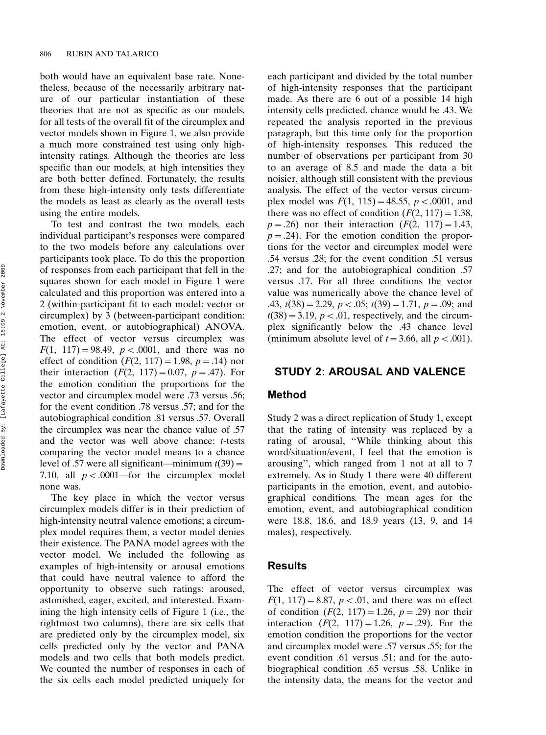both would have an equivalent base rate. Nonetheless, because of the necessarily arbitrary nature of our particular instantiation of these theories that are not as specific as our models, for all tests of the overall fit of the circumplex and vector models shown in Figure 1, we also provide a much more constrained test using only highintensity ratings. Although the theories are less specific than our models, at high intensities they are both better defined. Fortunately, the results from these high-intensity only tests differentiate the models as least as clearly as the overall tests using the entire models.

To test and contrast the two models, each individual participant's responses were compared to the two models before any calculations over participants took place. To do this the proportion of responses from each participant that fell in the squares shown for each model in Figure 1 were calculated and this proportion was entered into a 2 (within-participant fit to each model: vector or circumplex) by 3 (between-participant condition: emotion, event, or autobiographical) ANOVA. The effect of vector versus circumplex was  $F(1, 117) = 98.49, p < .0001$ , and there was no effect of condition  $(F(2, 117)=1.98, p=.14)$  nor their interaction  $(F(2, 117)=0.07, p=.47)$ . For the emotion condition the proportions for the vector and circumplex model were .73 versus .56; for the event condition .78 versus .57; and for the autobiographical condition .81 versus .57. Overall the circumplex was near the chance value of .57 and the vector was well above chance: t-tests comparing the vector model means to a chance level of .57 were all significant—minimum  $t(39)$  = 7.10, all  $p < .0001$ —for the circumplex model none was.

The key place in which the vector versus circumplex models differ is in their prediction of high-intensity neutral valence emotions; a circumplex model requires them, a vector model denies their existence. The PANA model agrees with the vector model. We included the following as examples of high-intensity or arousal emotions that could have neutral valence to afford the opportunity to observe such ratings: aroused, astonished, eager, excited, and interested. Examining the high intensity cells of Figure 1 (i.e., the rightmost two columns), there are six cells that are predicted only by the circumplex model, six cells predicted only by the vector and PANA models and two cells that both models predict. We counted the number of responses in each of the six cells each model predicted uniquely for

each participant and divided by the total number of high-intensity responses that the participant made. As there are 6 out of a possible 14 high intensity cells predicted, chance would be .43. We repeated the analysis reported in the previous paragraph, but this time only for the proportion of high-intensity responses. This reduced the number of observations per participant from 30 to an average of 8.5 and made the data a bit noisier, although still consistent with the previous analysis. The effect of the vector versus circumplex model was  $F(1, 115) = 48.55$ ,  $p < .0001$ , and there was no effect of condition  $(F(2, 117)=1.38$ ,  $p = .26$ ) nor their interaction  $(F(2, 117)) = 1.43$ ,  $p = .24$ ). For the emotion condition the proportions for the vector and circumplex model were .54 versus .28; for the event condition .51 versus .27; and for the autobiographical condition .57 versus .17. For all three conditions the vector value was numerically above the chance level of .43,  $t(38) = 2.29$ ,  $p < .05$ ;  $t(39) = 1.71$ ,  $p = .09$ ; and  $t(38) = 3.19$ ,  $p < .01$ , respectively, and the circumplex significantly below the .43 chance level (minimum absolute level of  $t=3.66$ , all  $p < .001$ ).

#### STUDY 2: AROUSAL AND VALENCE

#### Method

Study 2 was a direct replication of Study 1, except that the rating of intensity was replaced by a rating of arousal, ''While thinking about this word/situation/event, I feel that the emotion is arousing'', which ranged from 1 not at all to 7 extremely. As in Study 1 there were 40 different participants in the emotion, event, and autobiographical conditions. The mean ages for the emotion, event, and autobiographical condition were 18.8, 18.6, and 18.9 years (13, 9, and 14 males), respectively.

#### Results

The effect of vector versus circumplex was  $F(1, 117) = 8.87, p < .01$ , and there was no effect of condition  $(F(2, 117)) = 1.26$ ,  $p = .29$ ) nor their interaction  $(F(2, 117)=1.26, p=.29)$ . For the emotion condition the proportions for the vector and circumplex model were .57 versus .55; for the event condition .61 versus .51; and for the autobiographical condition .65 versus .58. Unlike in the intensity data, the means for the vector and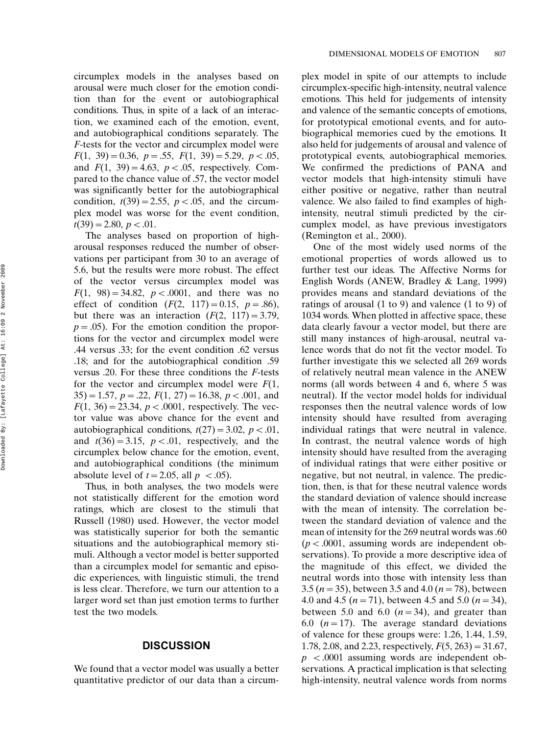circumplex models in the analyses based on arousal were much closer for the emotion condition than for the event or autobiographical conditions. Thus, in spite of a lack of an interaction, we examined each of the emotion, event, and autobiographical conditions separately. The F-tests for the vector and circumplex model were  $F(1, 39) = 0.36, p = .55, F(1, 39) = 5.29, p < .05,$ and  $F(1, 39) = 4.63$ ,  $p < .05$ , respectively. Compared to the chance value of .57, the vector model was significantly better for the autobiographical condition,  $t(39) = 2.55$ ,  $p < .05$ , and the circumplex model was worse for the event condition,  $t(39) = 2.80, p < .01.$ 

The analyses based on proportion of higharousal responses reduced the number of observations per participant from 30 to an average of 5.6, but the results were more robust. The effect of the vector versus circumplex model was  $F(1, 98) = 34.82$ ,  $p < .0001$ , and there was no effect of condition  $(F(2, 117)=0.15, p=.86)$ , but there was an interaction  $(F(2, 117)) = 3.79$ ,  $p = .05$ ). For the emotion condition the proportions for the vector and circumplex model were .44 versus .33; for the event condition .62 versus .18; and for the autobiographical condition .59 versus .20. For these three conditions the F-tests for the vector and circumplex model were  $F(1)$ ,  $35) = 1.57$ ,  $p = .22$ ,  $F(1, 27) = 16.38$ ,  $p < .001$ , and  $F(1, 36) = 23.34, p < .0001$ , respectively. The vector value was above chance for the event and autobiographical conditions,  $t(27) = 3.02$ ,  $p < .01$ , and  $t(36)=3.15$ ,  $p<.01$ , respectively, and the circumplex below chance for the emotion, event, and autobiographical conditions (the minimum absolute level of  $t=2.05$ , all  $p < .05$ ).

Thus, in both analyses, the two models were not statistically different for the emotion word ratings, which are closest to the stimuli that Russell (1980) used. However, the vector model was statistically superior for both the semantic situations and the autobiographical memory stimuli. Although a vector model is better supported than a circumplex model for semantic and episodic experiences, with linguistic stimuli, the trend is less clear. Therefore, we turn our attention to a larger word set than just emotion terms to further test the two models.

#### **DISCUSSION**

We found that a vector model was usually a better quantitative predictor of our data than a circumplex model in spite of our attempts to include circumplex-specific high-intensity, neutral valence emotions. This held for judgements of intensity and valence of the semantic concepts of emotions, for prototypical emotional events, and for autobiographical memories cued by the emotions. It also held for judgements of arousal and valence of prototypical events, autobiographical memories. We confirmed the predictions of PANA and vector models that high-intensity stimuli have either positive or negative, rather than neutral valence. We also failed to find examples of highintensity, neutral stimuli predicted by the circumplex model, as have previous investigators (Remington et al., 2000).

One of the most widely used norms of the emotional properties of words allowed us to further test our ideas. The Affective Norms for English Words (ANEW, Bradley & Lang, 1999) provides means and standard deviations of the ratings of arousal (1 to 9) and valence (1 to 9) of 1034 words. When plotted in affective space, these data clearly favour a vector model, but there are still many instances of high-arousal, neutral valence words that do not fit the vector model. To further investigate this we selected all 269 words of relatively neutral mean valence in the ANEW norms (all words between 4 and 6, where 5 was neutral). If the vector model holds for individual responses then the neutral valence words of low intensity should have resulted from averaging individual ratings that were neutral in valence. In contrast, the neutral valence words of high intensity should have resulted from the averaging of individual ratings that were either positive or negative, but not neutral, in valence. The prediction, then, is that for these neutral valence words the standard deviation of valence should increase with the mean of intensity. The correlation between the standard deviation of valence and the mean of intensity for the 269 neutral words was .60  $(p<.0001$ , assuming words are independent observations). To provide a more descriptive idea of the magnitude of this effect, we divided the neutral words into those with intensity less than 3.5 ( $n=35$ ), between 3.5 and 4.0 ( $n=78$ ), between 4.0 and 4.5 ( $n=71$ ), between 4.5 and 5.0 ( $n=34$ ), between 5.0 and 6.0  $(n=34)$ , and greater than 6.0  $(n=17)$ . The average standard deviations of valence for these groups were: 1.26, 1.44, 1.59, 1.78, 2.08, and 2.23, respectively,  $F(5, 263) = 31.67$ ,  $p \leq 0.0001$  assuming words are independent observations. A practical implication is that selecting high-intensity, neutral valence words from norms